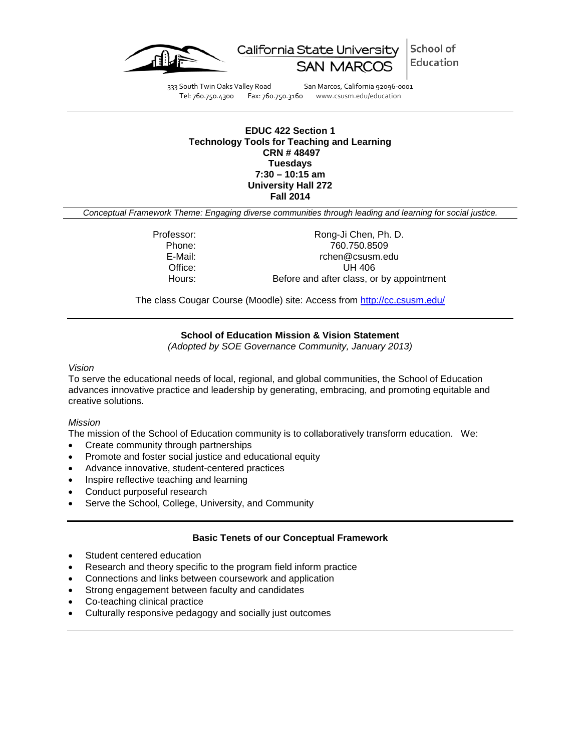

School of California State University Education

333 South Twin Oaks Valley Road San Marcos, California 92096-0001<br>Tel: 760.750.4300 Fax: 760.750.3160 www.csusm.edu/education Fax: 760.750.3160 www.csusm.edu/education

### **EDUC 422 Section 1 Technology Tools for Teaching and Learning CRN # 48497 Tuesdays 7:30 – 10:15 am University Hall 272 Fall 2014**

*Conceptual Framework Theme: Engaging diverse communities through leading and learning for social justice.*

Professor: Rong-Ji Chen, Ph. D. Phone: 760.750.8509 E-Mail: E-Mail: rchen@csusm.edu<br>Office: UH 406 **UH 406** Hours: Before and after class, or by appointment

The class Cougar Course (Moodle) site: Access from<http://cc.csusm.edu/>

# **School of Education Mission & Vision Statement**

*(Adopted by SOE Governance Community, January 2013)*

### *Vision*

To serve the educational needs of local, regional, and global communities, the School of Education advances innovative practice and leadership by generating, embracing, and promoting equitable and creative solutions.

# *Mission*

The mission of the School of Education community is to collaboratively transform education. We:

- Create community through partnerships
- Promote and foster social justice and educational equity
- Advance innovative, student-centered practices
- Inspire reflective teaching and learning
- Conduct purposeful research
- Serve the School, College, University, and Community

# **Basic Tenets of our Conceptual Framework**

- Student centered education
- Research and theory specific to the program field inform practice
- Connections and links between coursework and application
- Strong engagement between faculty and candidates
- Co-teaching clinical practice
- Culturally responsive pedagogy and socially just outcomes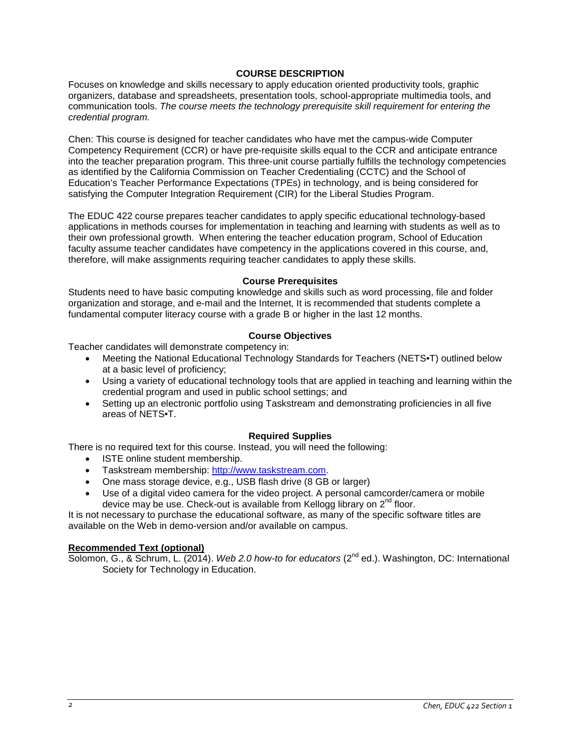### **COURSE DESCRIPTION**

Focuses on knowledge and skills necessary to apply education oriented productivity tools, graphic organizers, database and spreadsheets, presentation tools, school-appropriate multimedia tools, and communication tools. *The course meets the technology prerequisite skill requirement for entering the credential program.*

Chen: This course is designed for teacher candidates who have met the campus-wide Computer Competency Requirement (CCR) or have pre-requisite skills equal to the CCR and anticipate entrance into the teacher preparation program. This three-unit course partially fulfills the technology competencies as identified by the California Commission on Teacher Credentialing (CCTC) and the School of Education's Teacher Performance Expectations (TPEs) in technology, and is being considered for satisfying the Computer Integration Requirement (CIR) for the Liberal Studies Program.

The EDUC 422 course prepares teacher candidates to apply specific educational technology-based applications in methods courses for implementation in teaching and learning with students as well as to their own professional growth. When entering the teacher education program, School of Education faculty assume teacher candidates have competency in the applications covered in this course, and, therefore, will make assignments requiring teacher candidates to apply these skills.

### **Course Prerequisites**

Students need to have basic computing knowledge and skills such as word processing, file and folder organization and storage, and e-mail and the Internet, It is recommended that students complete a fundamental computer literacy course with a grade B or higher in the last 12 months.

### **Course Objectives**

Teacher candidates will demonstrate competency in:

- Meeting the National Educational Technology Standards for Teachers (NETS•T) outlined below at a basic level of proficiency;
- Using a variety of educational technology tools that are applied in teaching and learning within the credential program and used in public school settings; and
- Setting up an electronic portfolio using Taskstream and demonstrating proficiencies in all five areas of NETS•T.

### **Required Supplies**

There is no required text for this course. Instead, you will need the following:

- ISTE online student membership.
- Taskstream membership: [http://www.taskstream.com.](http://www.taskstream.com/)
- One mass storage device, e.g., USB flash drive (8 GB or larger)
- Use of a digital video camera for the video project. A personal camcorder/camera or mobile device may be use. Check-out is available from Kellogg library on  $2<sup>nd</sup>$  floor.

It is not necessary to purchase the educational software, as many of the specific software titles are available on the Web in demo-version and/or available on campus.

### **Recommended Text (optional)**

Solomon, G., & Schrum, L. (2014). *Web 2.0 how-to for educators* (2<sup>nd</sup> ed.). Washington, DC: International Society for Technology in Education.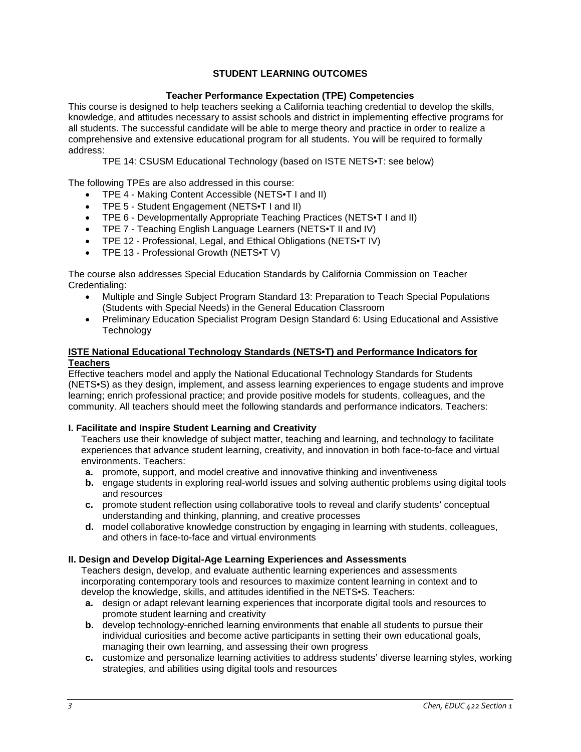# **STUDENT LEARNING OUTCOMES**

### **Teacher Performance Expectation (TPE) Competencies**

This course is designed to help teachers seeking a California teaching credential to develop the skills, knowledge, and attitudes necessary to assist schools and district in implementing effective programs for all students. The successful candidate will be able to merge theory and practice in order to realize a comprehensive and extensive educational program for all students. You will be required to formally address:

TPE 14: CSUSM Educational Technology (based on ISTE NETS•T: see below)

The following TPEs are also addressed in this course:

- TPE 4 Making Content Accessible (NETS•T I and II)
- TPE 5 Student Engagement (NETS•T I and II)
- TPE 6 Developmentally Appropriate Teaching Practices (NETS•T I and II)
- TPE 7 Teaching English Language Learners (NETS•T II and IV)
- TPE 12 Professional, Legal, and Ethical Obligations (NETS. IV)
- TPE 13 Professional Growth (NETS•T V)

The course also addresses Special Education Standards by California Commission on Teacher Credentialing:

- Multiple and Single Subject Program Standard 13: Preparation to Teach Special Populations (Students with Special Needs) in the General Education Classroom
- Preliminary Education Specialist Program Design Standard 6: Using Educational and Assistive **Technology**

### **ISTE National Educational Technology Standards (NETS•T) and Performance Indicators for Teachers**

Effective teachers model and apply the National Educational Technology Standards for Students (NETS•S) as they design, implement, and assess learning experiences to engage students and improve learning; enrich professional practice; and provide positive models for students, colleagues, and the community. All teachers should meet the following standards and performance indicators. Teachers:

# **I. Facilitate and Inspire Student Learning and Creativity**

Teachers use their knowledge of subject matter, teaching and learning, and technology to facilitate experiences that advance student learning, creativity, and innovation in both face-to-face and virtual environments. Teachers:

- **a.** promote, support, and model creative and innovative thinking and inventiveness
- **b.** engage students in exploring real-world issues and solving authentic problems using digital tools and resources
- **c.** promote student reflection using collaborative tools to reveal and clarify students' conceptual understanding and thinking, planning, and creative processes
- **d.** model collaborative knowledge construction by engaging in learning with students, colleagues, and others in face-to-face and virtual environments

### **II. Design and Develop Digital-Age Learning Experiences and Assessments**

Teachers design, develop, and evaluate authentic learning experiences and assessments incorporating contemporary tools and resources to maximize content learning in context and to develop the knowledge, skills, and attitudes identified in the NETS•S. Teachers:

- **a.** design or adapt relevant learning experiences that incorporate digital tools and resources to promote student learning and creativity
- **b.** develop technology-enriched learning environments that enable all students to pursue their individual curiosities and become active participants in setting their own educational goals, managing their own learning, and assessing their own progress
- **c.** customize and personalize learning activities to address students' diverse learning styles, working strategies, and abilities using digital tools and resources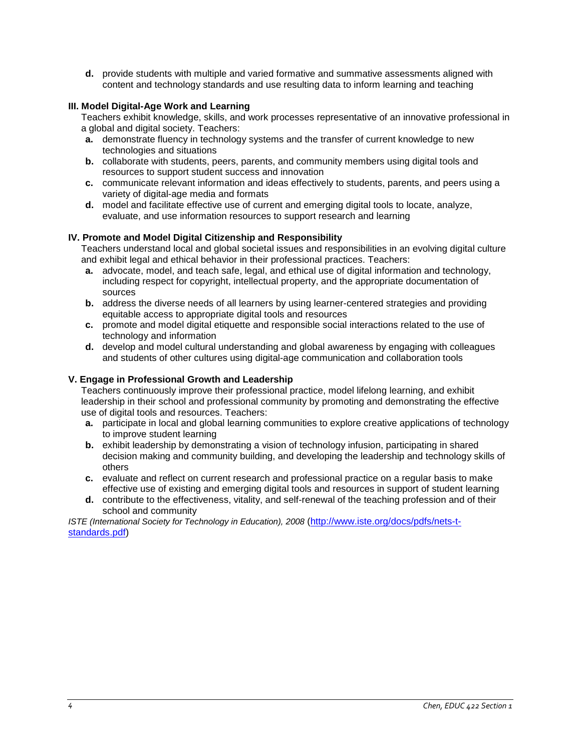**d.** provide students with multiple and varied formative and summative assessments aligned with content and technology standards and use resulting data to inform learning and teaching

# **III. Model Digital-Age Work and Learning**

Teachers exhibit knowledge, skills, and work processes representative of an innovative professional in a global and digital society. Teachers:

- **a.** demonstrate fluency in technology systems and the transfer of current knowledge to new technologies and situations
- **b.** collaborate with students, peers, parents, and community members using digital tools and resources to support student success and innovation
- **c.** communicate relevant information and ideas effectively to students, parents, and peers using a variety of digital-age media and formats
- **d.** model and facilitate effective use of current and emerging digital tools to locate, analyze, evaluate, and use information resources to support research and learning

# **IV. Promote and Model Digital Citizenship and Responsibility**

Teachers understand local and global societal issues and responsibilities in an evolving digital culture and exhibit legal and ethical behavior in their professional practices. Teachers:

- **a.** advocate, model, and teach safe, legal, and ethical use of digital information and technology, including respect for copyright, intellectual property, and the appropriate documentation of sources
- **b.** address the diverse needs of all learners by using learner-centered strategies and providing equitable access to appropriate digital tools and resources
- **c.** promote and model digital etiquette and responsible social interactions related to the use of technology and information
- **d.** develop and model cultural understanding and global awareness by engaging with colleagues and students of other cultures using digital-age communication and collaboration tools

# **V. Engage in Professional Growth and Leadership**

Teachers continuously improve their professional practice, model lifelong learning, and exhibit leadership in their school and professional community by promoting and demonstrating the effective use of digital tools and resources. Teachers:

- **a.** participate in local and global learning communities to explore creative applications of technology to improve student learning
- **b.** exhibit leadership by demonstrating a vision of technology infusion, participating in shared decision making and community building, and developing the leadership and technology skills of others
- **c.** evaluate and reflect on current research and professional practice on a regular basis to make effective use of existing and emerging digital tools and resources in support of student learning
- **d.** contribute to the effectiveness, vitality, and self-renewal of the teaching profession and of their school and community

*ISTE (International Society for Technology in Education), 2008* [\(http://www.iste.org/docs/pdfs/nets-t](http://www.iste.org/docs/pdfs/nets-t-standards.pdf)[standards.pdf\)](http://www.iste.org/docs/pdfs/nets-t-standards.pdf)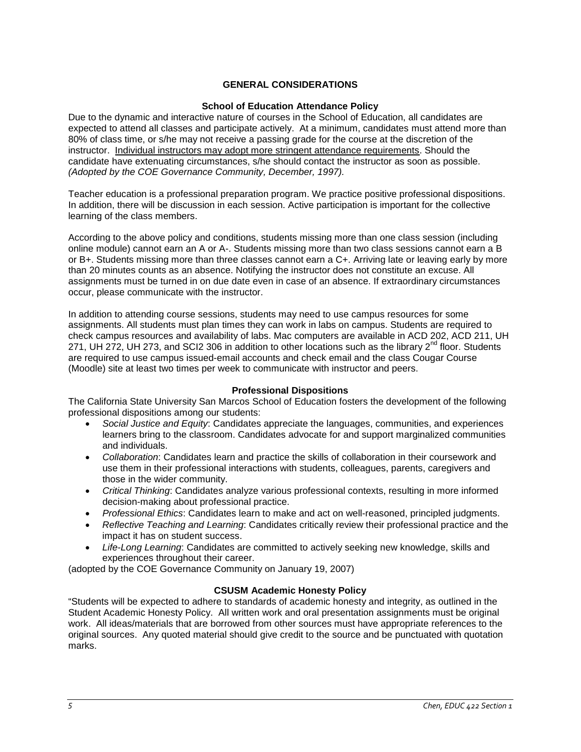# **GENERAL CONSIDERATIONS**

### **School of Education Attendance Policy**

Due to the dynamic and interactive nature of courses in the School of Education, all candidates are expected to attend all classes and participate actively. At a minimum, candidates must attend more than 80% of class time, or s/he may not receive a passing grade for the course at the discretion of the instructor. Individual instructors may adopt more stringent attendance requirements. Should the candidate have extenuating circumstances, s/he should contact the instructor as soon as possible. *(Adopted by the COE Governance Community, December, 1997).*

Teacher education is a professional preparation program. We practice positive professional dispositions. In addition, there will be discussion in each session. Active participation is important for the collective learning of the class members.

According to the above policy and conditions, students missing more than one class session (including online module) cannot earn an A or A-. Students missing more than two class sessions cannot earn a B or B+. Students missing more than three classes cannot earn a C+. Arriving late or leaving early by more than 20 minutes counts as an absence. Notifying the instructor does not constitute an excuse. All assignments must be turned in on due date even in case of an absence. If extraordinary circumstances occur, please communicate with the instructor.

In addition to attending course sessions, students may need to use campus resources for some assignments. All students must plan times they can work in labs on campus. Students are required to check campus resources and availability of labs. Mac computers are available in ACD 202, ACD 211, UH 271, UH 272, UH 273, and SCI2 306 in addition to other locations such as the library  $2^{nd}$  floor. Students are required to use campus issued-email accounts and check email and the class Cougar Course (Moodle) site at least two times per week to communicate with instructor and peers.

### **Professional Dispositions**

The California State University San Marcos School of Education fosters the development of the following professional dispositions among our students:

- *Social Justice and Equity*: Candidates appreciate the languages, communities, and experiences learners bring to the classroom. Candidates advocate for and support marginalized communities and individuals.
- *Collaboration*: Candidates learn and practice the skills of collaboration in their coursework and use them in their professional interactions with students, colleagues, parents, caregivers and those in the wider community.
- *Critical Thinking*: Candidates analyze various professional contexts, resulting in more informed decision-making about professional practice.
- *Professional Ethics*: Candidates learn to make and act on well-reasoned, principled judgments.
- *Reflective Teaching and Learning*: Candidates critically review their professional practice and the impact it has on student success.
- *Life-Long Learning*: Candidates are committed to actively seeking new knowledge, skills and experiences throughout their career.

(adopted by the COE Governance Community on January 19, 2007)

# **CSUSM Academic Honesty Policy**

"Students will be expected to adhere to standards of academic honesty and integrity, as outlined in the Student Academic Honesty Policy. All written work and oral presentation assignments must be original work. All ideas/materials that are borrowed from other sources must have appropriate references to the original sources. Any quoted material should give credit to the source and be punctuated with quotation marks.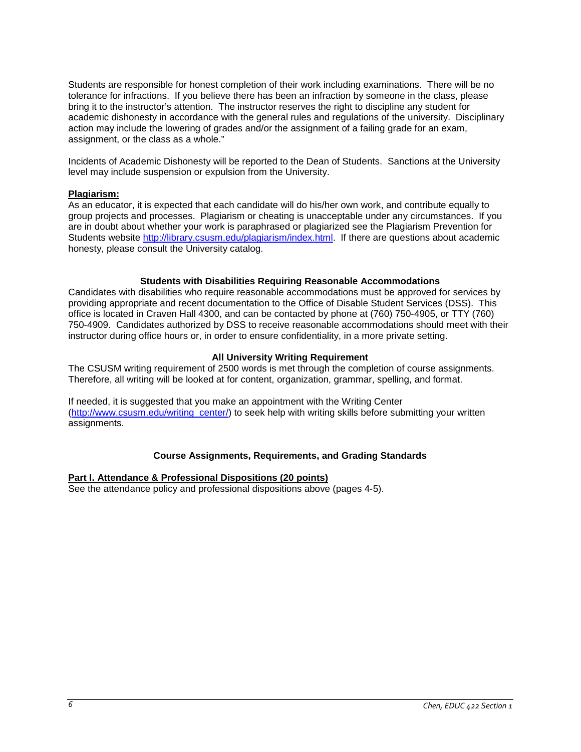Students are responsible for honest completion of their work including examinations. There will be no tolerance for infractions. If you believe there has been an infraction by someone in the class, please bring it to the instructor's attention. The instructor reserves the right to discipline any student for academic dishonesty in accordance with the general rules and regulations of the university. Disciplinary action may include the lowering of grades and/or the assignment of a failing grade for an exam, assignment, or the class as a whole."

Incidents of Academic Dishonesty will be reported to the Dean of Students. Sanctions at the University level may include suspension or expulsion from the University.

### **Plagiarism:**

As an educator, it is expected that each candidate will do his/her own work, and contribute equally to group projects and processes. Plagiarism or cheating is unacceptable under any circumstances. If you are in doubt about whether your work is paraphrased or plagiarized see the Plagiarism Prevention for Students website [http://library.csusm.edu/plagiarism/index.html.](http://library.csusm.edu/plagiarism/index.html) If there are questions about academic honesty, please consult the University catalog.

### **Students with Disabilities Requiring Reasonable Accommodations**

Candidates with disabilities who require reasonable accommodations must be approved for services by providing appropriate and recent documentation to the Office of Disable Student Services (DSS). This office is located in Craven Hall 4300, and can be contacted by phone at (760) 750-4905, or TTY (760) 750-4909. Candidates authorized by DSS to receive reasonable accommodations should meet with their instructor during office hours or, in order to ensure confidentiality, in a more private setting.

# **All University Writing Requirement**

The CSUSM writing requirement of 2500 words is met through the completion of course assignments. Therefore, all writing will be looked at for content, organization, grammar, spelling, and format.

If needed, it is suggested that you make an appointment with the Writing Center [\(http://www.csusm.edu/writing\\_center/\)](http://www.csusm.edu/writing_center/) to seek help with writing skills before submitting your written assignments.

# **Course Assignments, Requirements, and Grading Standards**

### **Part I. Attendance & Professional Dispositions (20 points)**

See the attendance policy and professional dispositions above (pages 4-5).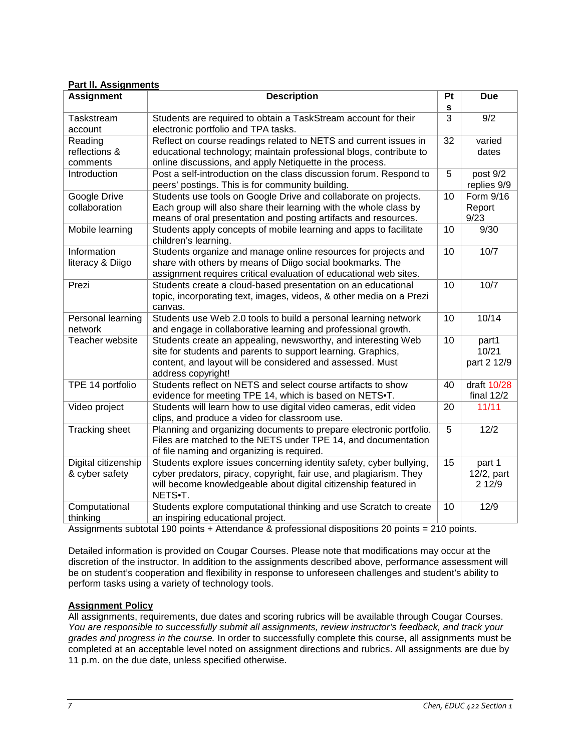# **Part II. Assignments**

| <b>Assignment</b>     | <b>Description</b>                                                                                                         | Pt | <b>Due</b>   |
|-----------------------|----------------------------------------------------------------------------------------------------------------------------|----|--------------|
|                       |                                                                                                                            | S  |              |
| Taskstream<br>account | Students are required to obtain a TaskStream account for their<br>electronic portfolio and TPA tasks.                      | 3  | 9/2          |
| Reading               | Reflect on course readings related to NETS and current issues in                                                           | 32 | varied       |
| reflections &         | educational technology; maintain professional blogs, contribute to                                                         |    | dates        |
| comments              | online discussions, and apply Netiquette in the process.                                                                   |    |              |
| Introduction          | Post a self-introduction on the class discussion forum. Respond to                                                         | 5  | post 9/2     |
|                       | peers' postings. This is for community building.                                                                           |    | replies 9/9  |
| Google Drive          | Students use tools on Google Drive and collaborate on projects.                                                            | 10 | Form 9/16    |
| collaboration         | Each group will also share their learning with the whole class by                                                          |    | Report       |
|                       | means of oral presentation and posting artifacts and resources.                                                            |    | 9/23         |
| Mobile learning       | Students apply concepts of mobile learning and apps to facilitate<br>children's learning.                                  | 10 | 9/30         |
| Information           | Students organize and manage online resources for projects and                                                             | 10 | 10/7         |
| literacy & Diigo      | share with others by means of Diigo social bookmarks. The                                                                  |    |              |
|                       | assignment requires critical evaluation of educational web sites.                                                          |    |              |
| Prezi                 | Students create a cloud-based presentation on an educational                                                               | 10 | 10/7         |
|                       | topic, incorporating text, images, videos, & other media on a Prezi                                                        |    |              |
|                       | canvas.                                                                                                                    |    |              |
| Personal learning     | Students use Web 2.0 tools to build a personal learning network                                                            | 10 | 10/14        |
| network               | and engage in collaborative learning and professional growth.                                                              |    |              |
| Teacher website       | Students create an appealing, newsworthy, and interesting Web                                                              | 10 | part1        |
|                       | site for students and parents to support learning. Graphics,                                                               |    | 10/21        |
|                       | content, and layout will be considered and assessed. Must                                                                  |    | part 2 12/9  |
|                       | address copyright!                                                                                                         |    | draft 10/28  |
| TPE 14 portfolio      | Students reflect on NETS and select course artifacts to show                                                               | 40 | final $12/2$ |
| Video project         | evidence for meeting TPE 14, which is based on NETS.T.<br>Students will learn how to use digital video cameras, edit video | 20 | 11/11        |
|                       | clips, and produce a video for classroom use.                                                                              |    |              |
| <b>Tracking sheet</b> | Planning and organizing documents to prepare electronic portfolio.                                                         | 5  | 12/2         |
|                       | Files are matched to the NETS under TPE 14, and documentation                                                              |    |              |
|                       | of file naming and organizing is required.                                                                                 |    |              |
| Digital citizenship   | Students explore issues concerning identity safety, cyber bullying,                                                        | 15 | part 1       |
| & cyber safety        | cyber predators, piracy, copyright, fair use, and plagiarism. They                                                         |    | 12/2, part   |
|                       | will become knowledgeable about digital citizenship featured in                                                            |    | 2 1 2 / 9    |
|                       | NETS.T.                                                                                                                    |    |              |
| Computational         | Students explore computational thinking and use Scratch to create                                                          | 10 | 12/9         |
| thinking              | an inspiring educational project.                                                                                          |    |              |

Assignments subtotal 190 points + Attendance & professional dispositions 20 points = 210 points.

Detailed information is provided on Cougar Courses. Please note that modifications may occur at the discretion of the instructor. In addition to the assignments described above, performance assessment will be on student's cooperation and flexibility in response to unforeseen challenges and student's ability to perform tasks using a variety of technology tools.

# **Assignment Policy**

All assignments, requirements, due dates and scoring rubrics will be available through Cougar Courses. *You are responsible to successfully submit all assignments, review instructor's feedback, and track your grades and progress in the course.* In order to successfully complete this course, all assignments must be completed at an acceptable level noted on assignment directions and rubrics. All assignments are due by 11 p.m. on the due date, unless specified otherwise.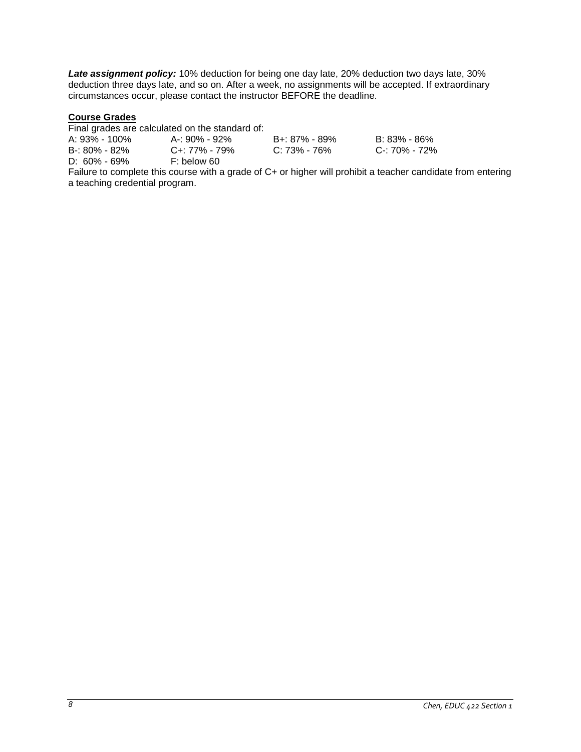*Late assignment policy:* 10% deduction for being one day late, 20% deduction two days late, 30% deduction three days late, and so on. After a week, no assignments will be accepted. If extraordinary circumstances occur, please contact the instructor BEFORE the deadline.

# **Course Grades**

Final grades are calculated on the standard of:

| A: 93% - 100%    | A-: 90% - 92% |  | B+: 87% - 89%    |  | B: 83% - 86%  |  |
|------------------|---------------|--|------------------|--|---------------|--|
| B-: 80% - 82%    | C+: 77% - 79% |  | $C: 73\% - 76\%$ |  | C-: 70% - 72% |  |
| $D: 60\% - 69\%$ | F: below 60   |  |                  |  |               |  |
| - -              |               |  |                  |  |               |  |

Failure to complete this course with a grade of C+ or higher will prohibit a teacher candidate from entering a teaching credential program.